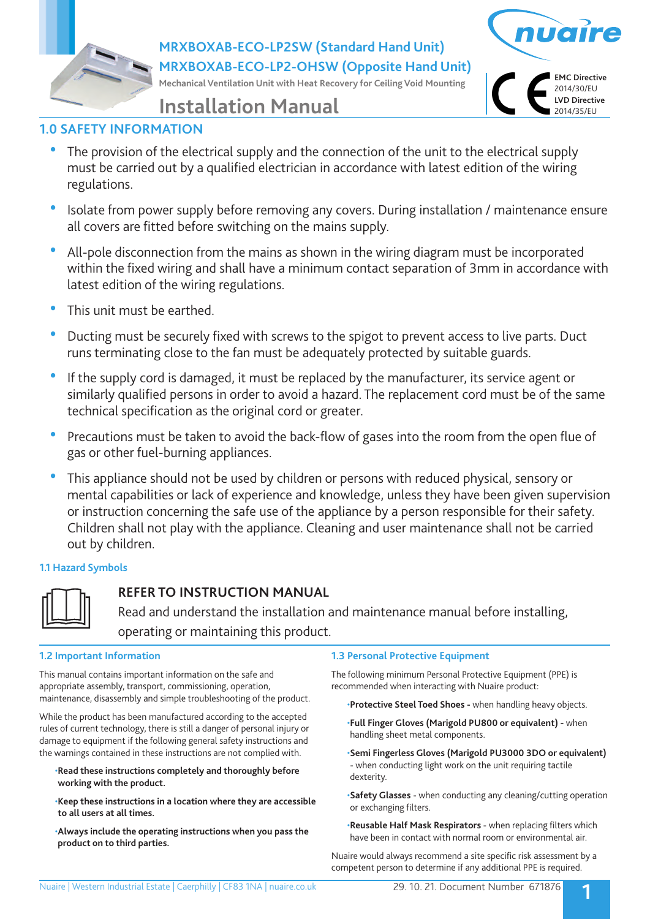**MRXBOXAB-ECO-LP2SW (Standard Hand Unit) MRXBOXAB-ECO-LP2-OHSW (Opposite Hand Unit)**

**Mechanical Ventilation Unit with Heat Recovery for Ceiling Void Mounting**



# **Installation Manual**

# **1.0 SAFETY INFORMATION**

- The provision of the electrical supply and the connection of the unit to the electrical supply must be carried out by a qualified electrician in accordance with latest edition of the wiring regulations.
- Isolate from power supply before removing any covers. During installation / maintenance ensure all covers are fitted before switching on the mains supply.
- All-pole disconnection from the mains as shown in the wiring diagram must be incorporated within the fixed wiring and shall have a minimum contact separation of 3mm in accordance with latest edition of the wiring regulations.
- This unit must be earthed.
- Ducting must be securely fixed with screws to the spigot to prevent access to live parts. Duct runs terminating close to the fan must be adequately protected by suitable guards.
- If the supply cord is damaged, it must be replaced by the manufacturer, its service agent or similarly qualified persons in order to avoid a hazard. The replacement cord must be of the same technical specification as the original cord or greater.
- Precautions must be taken to avoid the back-flow of gases into the room from the open flue of gas or other fuel-burning appliances.
- This appliance should not be used by children or persons with reduced physical, sensory or mental capabilities or lack of experience and knowledge, unless they have been given supervision or instruction concerning the safe use of the appliance by a person responsible for their safety. Children shall not play with the appliance. Cleaning and user maintenance shall not be carried out by children.

## **1.1 Hazard Symbols**



# **REFER TO INSTRUCTION MANUAL**

 Read and understand the installation and maintenance manual before installing, operating or maintaining this product.

## **1.2 Important Information**

This manual contains important information on the safe and appropriate assembly, transport, commissioning, operation, maintenance, disassembly and simple troubleshooting of the product.

While the product has been manufactured according to the accepted rules of current technology, there is still a danger of personal injury or damage to equipment if the following general safety instructions and the warnings contained in these instructions are not complied with.

- •**Read these instructions completely and thoroughly before working with the product.**
- •**Keep these instructions in a location where they are accessible to all users at all times.**
- •**Always include the operating instructions when you pass the product on to third parties.**

## **1.3 Personal Protective Equipment**

The following minimum Personal Protective Equipment (PPE) is recommended when interacting with Nuaire product:

•**Protective Steel Toed Shoes -** when handling heavy objects.

- •**Full Finger Gloves (Marigold PU800 or equivalent)** when handling sheet metal components.
- •**Semi Fingerless Gloves (Marigold PU3000 3DO or equivalent)**  - when conducting light work on the unit requiring tactile dexterity.
- •**Safety Glasses** when conducting any cleaning/cutting operation or exchanging filters.
- •**Reusable Half Mask Respirators**  when replacing filters which have been in contact with normal room or environmental air.

Nuaire would always recommend a site specific risk assessment by a competent person to determine if any additional PPE is required.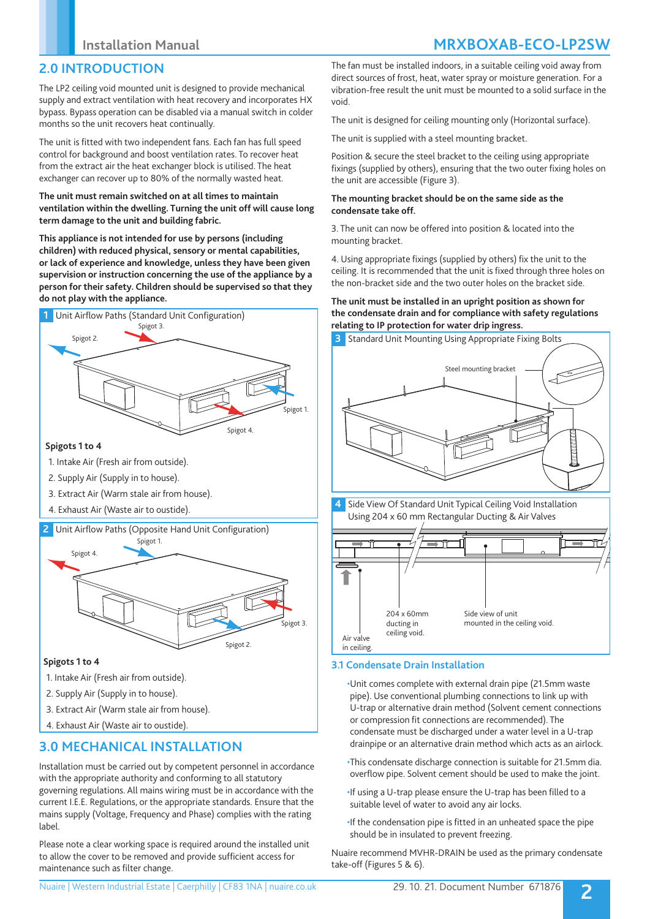# **2.0 INTRODUCTION**

The LP2 ceiling void mounted unit is designed to provide mechanical supply and extract ventilation with heat recovery and incorporates HX bypass. Bypass operation can be disabled via a manual switch in colder months so the unit recovers heat continually.

The unit is fitted with two independent fans. Each fan has full speed control for background and boost ventilation rates. To recover heat from the extract air the heat exchanger block is utilised. The heat exchanger can recover up to 80% of the normally wasted heat.

### **The unit must remain switched on at all times to maintain ventilation within the dwelling. Turning the unit off will cause long term damage to the unit and building fabric.**

**This appliance is not intended for use by persons (including children) with reduced physical, sensory or mental capabilities, or lack of experience and knowledge, unless they have been given supervision or instruction concerning the use of the appliance by a person for their safety. Children should be supervised so that they do not play with the appliance.**



- 1. Intake Air (Fresh air from outside).
- 2. Supply Air (Supply in to house).
- 3. Extract Air (Warm stale air from house).
- 4. Exhaust Air (Waste air to oustide).
- **2** Unit Airflow Paths (Opposite Hand Unit Configuration)



### **Spigots 1 to 4**

- 1. Intake Air (Fresh air from outside).
- 2. Supply Air (Supply in to house).
- 3. Extract Air (Warm stale air from house).
- 4. Exhaust Air (Waste air to oustide).

# **3.0 MECHANICAL INSTALLATION**

Installation must be carried out by competent personnel in accordance with the appropriate authority and conforming to all statutory governing regulations. All mains wiring must be in accordance with the current I.E.E. Regulations, or the appropriate standards. Ensure that the mains supply (Voltage, Frequency and Phase) complies with the rating label.

Please note a clear working space is required around the installed unit to allow the cover to be removed and provide sufficient access for maintenance such as filter change.

# **Installation Manual MRXBOXAB-ECO-LP2SW**

The fan must be installed indoors, in a suitable ceiling void away from direct sources of frost, heat, water spray or moisture generation. For a vibration-free result the unit must be mounted to a solid surface in the void.

The unit is designed for ceiling mounting only (Horizontal surface).

The unit is supplied with a steel mounting bracket.

Position & secure the steel bracket to the ceiling using appropriate fixings (supplied by others), ensuring that the two outer fixing holes on the unit are accessible (Figure 3).

### **The mounting bracket should be on the same side as the condensate take off.**

3. The unit can now be offered into position & located into the mounting bracket.

4. Using appropriate fixings (supplied by others) fix the unit to the ceiling. It is recommended that the unit is fixed through three holes on the non-bracket side and the two outer holes on the bracket side.

### **The unit must be installed in an upright position as shown for the condensate drain and for compliance with safety regulations relating to IP protection for water drip ingress.**



#### ducting in 204 x 60mm ceiling void. in ceiling. Side view of unit mounted in the ceiling void. Air valve

## **3.1 Condensate Drain Installation**

•Unit comes complete with external drain pipe (21.5mm waste pipe). Use conventional plumbing connections to link up with U-trap or alternative drain method (Solvent cement connections or compression fit connections are recommended). The condensate must be discharged under a water level in a U-trap drainpipe or an alternative drain method which acts as an airlock.

- •This condensate discharge connection is suitable for 21.5mm dia. overflow pipe. Solvent cement should be used to make the joint.
- •If using a U-trap please ensure the U-trap has been filled to a suitable level of water to avoid any air locks.
- •If the condensation pipe is fitted in an unheated space the pipe should be in insulated to prevent freezing.

Nuaire recommend MVHR-DRAIN be used as the primary condensate take-off (Figures 5 & 6).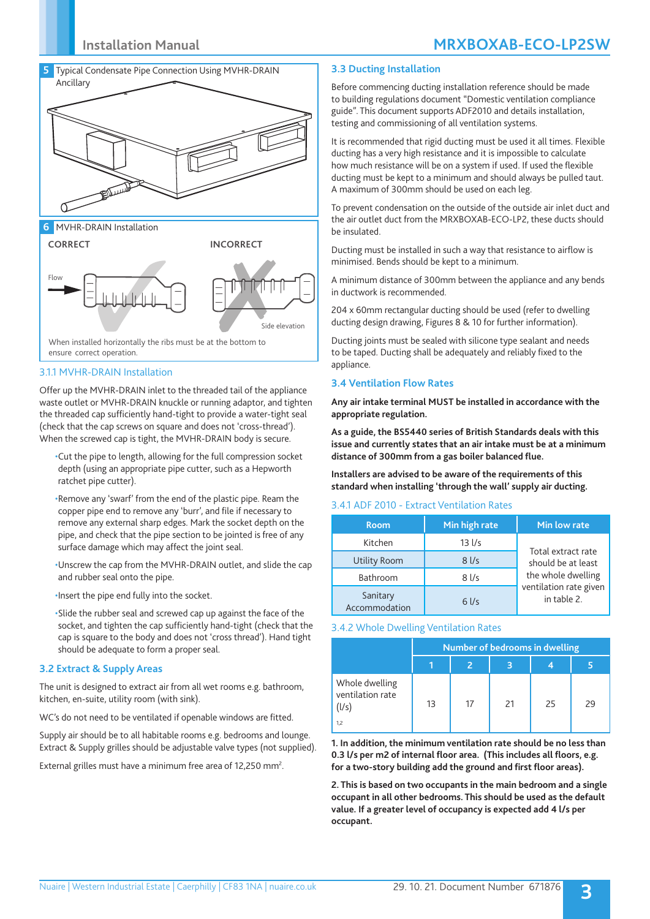# **Installation Manual MRXBOXAB-ECO-LP2SW**



**6** MVHR-DRAIN Installation



3.1.1 MVHR-DRAIN Installation

Offer up the MVHR-DRAIN inlet to the threaded tail of the appliance waste outlet or MVHR-DRAIN knuckle or running adaptor, and tighten the threaded cap sufficiently hand-tight to provide a water-tight seal (check that the cap screws on square and does not 'cross-thread'). When the screwed cap is tight, the MVHR-DRAIN body is secure.

•Cut the pipe to length, allowing for the full compression socket depth (using an appropriate pipe cutter, such as a Hepworth ratchet pipe cutter).

•Remove any 'swarf' from the end of the plastic pipe. Ream the copper pipe end to remove any 'burr', and file if necessary to remove any external sharp edges. Mark the socket depth on the pipe, and check that the pipe section to be jointed is free of any surface damage which may affect the joint seal.

•Unscrew the cap from the MVHR-DRAIN outlet, and slide the cap and rubber seal onto the pipe.

•Insert the pipe end fully into the socket.

•Slide the rubber seal and screwed cap up against the face of the socket, and tighten the cap sufficiently hand-tight (check that the cap is square to the body and does not 'cross thread'). Hand tight should be adequate to form a proper seal.

### **3.2 Extract & Supply Areas**

The unit is designed to extract air from all wet rooms e.g. bathroom, kitchen, en-suite, utility room (with sink).

WC's do not need to be ventilated if openable windows are fitted.

Supply air should be to all habitable rooms e.g. bedrooms and lounge. Extract & Supply grilles should be adjustable valve types (not supplied).

External grilles must have a minimum free area of 12,250 mm<sup>2</sup>.

### **3.3 Ducting Installation**

Before commencing ducting installation reference should be made to building regulations document "Domestic ventilation compliance guide". This document supports ADF2010 and details installation, testing and commissioning of all ventilation systems.

It is recommended that rigid ducting must be used it all times. Flexible ducting has a very high resistance and it is impossible to calculate how much resistance will be on a system if used. If used the flexible ducting must be kept to a minimum and should always be pulled taut. A maximum of 300mm should be used on each leg.

To prevent condensation on the outside of the outside air inlet duct and the air outlet duct from the MRXBOXAB-ECO-LP2, these ducts should be insulated.

Ducting must be installed in such a way that resistance to airflow is minimised. Bends should be kept to a minimum.

A minimum distance of 300mm between the appliance and any bends in ductwork is recommended.

204 x 60mm rectangular ducting should be used (refer to dwelling ducting design drawing, Figures 8 & 10 for further information).

Ducting joints must be sealed with silicone type sealant and needs to be taped. Ducting shall be adequately and reliably fixed to the appliance.

### **3.4 Ventilation Flow Rates**

**Any air intake terminal MUST be installed in accordance with the appropriate regulation.**

**As a guide, the BS5440 series of British Standards deals with this issue and currently states that an air intake must be at a minimum distance of 300mm from a gas boiler balanced flue.**

**Installers are advised to be aware of the requirements of this standard when installing 'through the wall' supply air ducting.**

#### 3.4.1 ADF 2010 - Extract Ventilation Rates

| <b>Room</b>               | Min high rate     | Min low rate                             |  |  |
|---------------------------|-------------------|------------------------------------------|--|--|
| Kitchen                   | $13$ $1/s$        | Total extract rate<br>should be at least |  |  |
| Utility Room              | $8$ I/s           |                                          |  |  |
| Bathroom                  | $8$ $\frac{1}{s}$ | the whole dwelling                       |  |  |
| Sanitary<br>Accommodation | $6$ I/s           | ventilation rate given<br>in table 2.    |  |  |

#### 3.4.2 Whole Dwelling Ventilation Rates

|                                             | Number of bedrooms in dwelling |    |    |    |    |  |
|---------------------------------------------|--------------------------------|----|----|----|----|--|
|                                             |                                |    |    |    |    |  |
| Whole dwelling<br>ventilation rate<br>(l/s) | 13                             | 17 | 21 | 25 | 29 |  |
| 1.2                                         |                                |    |    |    |    |  |

**1. In addition, the minimum ventilation rate should be no less than 0.3 l/s per m2 of internal floor area. (This includes all floors, e.g. for a two-story building add the ground and first floor areas).**

**2. This is based on two occupants in the main bedroom and a single occupant in all other bedrooms. This should be used as the default value. If a greater level of occupancy is expected add 4 l/s per occupant.**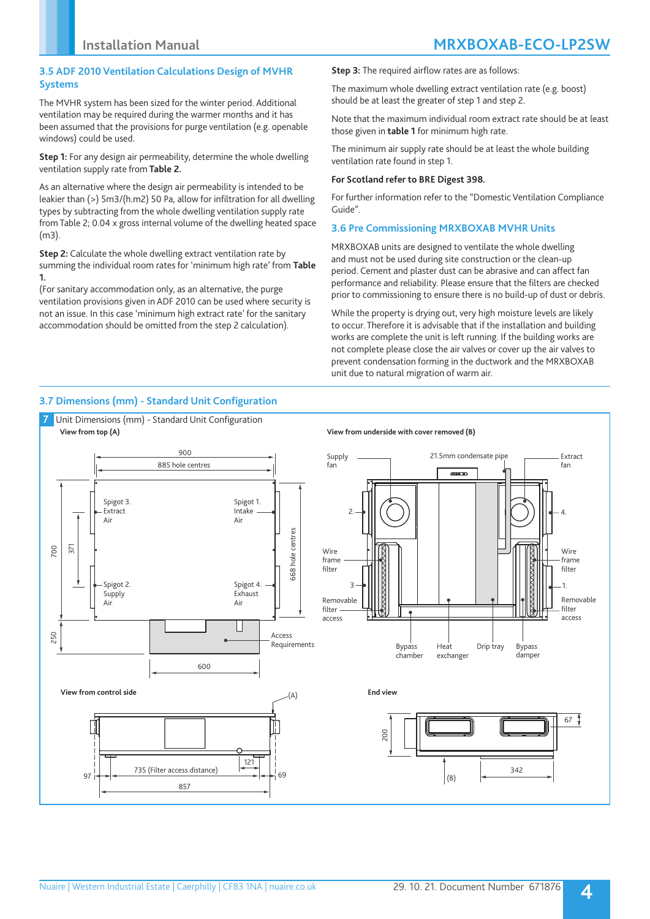### **3.5 ADF 2010 Ventilation Calculations Design of MVHR Systems**

The MVHR system has been sized for the winter period. Additional ventilation may be required during the warmer months and it has been assumed that the provisions for purge ventilation (e.g. openable windows) could be used.

**Step 1:** For any design air permeability, determine the whole dwelling ventilation supply rate from **Table 2.**

As an alternative where the design air permeability is intended to be leakier than (>) 5m3/(h.m2) 50 Pa, allow for infiltration for all dwelling types by subtracting from the whole dwelling ventilation supply rate from Table 2; 0.04 x gross internal volume of the dwelling heated space (m3).

**Step 2:** Calculate the whole dwelling extract ventilation rate by summing the individual room rates for 'minimum high rate' from **Table 1.** 

(For sanitary accommodation only, as an alternative, the purge ventilation provisions given in ADF 2010 can be used where security is not an issue. In this case 'minimum high extract rate' for the sanitary accommodation should be omitted from the step 2 calculation).

**Step 3:** The required airflow rates are as follows:

The maximum whole dwelling extract ventilation rate (e.g. boost) should be at least the greater of step 1 and step 2.

Note that the maximum individual room extract rate should be at least those given in **table 1** for minimum high rate.

The minimum air supply rate should be at least the whole building ventilation rate found in step 1.

### **For Scotland refer to BRE Digest 398.**

For further information refer to the "Domestic Ventilation Compliance Guide".

### **3.6 Pre Commissioning MRXBOXAB MVHR Units**

MRXBOXAB units are designed to ventilate the whole dwelling and must not be used during site construction or the clean-up period. Cement and plaster dust can be abrasive and can affect fan performance and reliability. Please ensure that the filters are checked prior to commissioning to ensure there is no build-up of dust or debris.

While the property is drying out, very high moisture levels are likely to occur. Therefore it is advisable that if the installation and building works are complete the unit is left running. If the building works are not complete please close the air valves or cover up the air valves to prevent condensation forming in the ductwork and the MRXBOXAB unit due to natural migration of warm air.

## **3.7 Dimensions (mm) - Standard Unit Configuration**

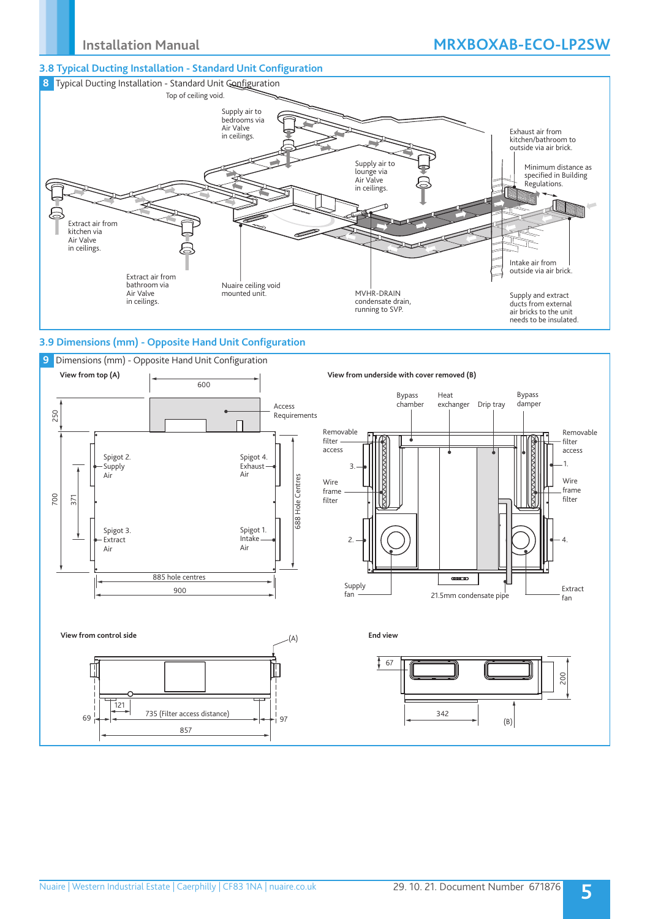### **3.8 Typical Ducting Installation - Standard Unit Configuration**



## **3.9 Dimensions (mm) - Opposite Hand Unit Configuration**

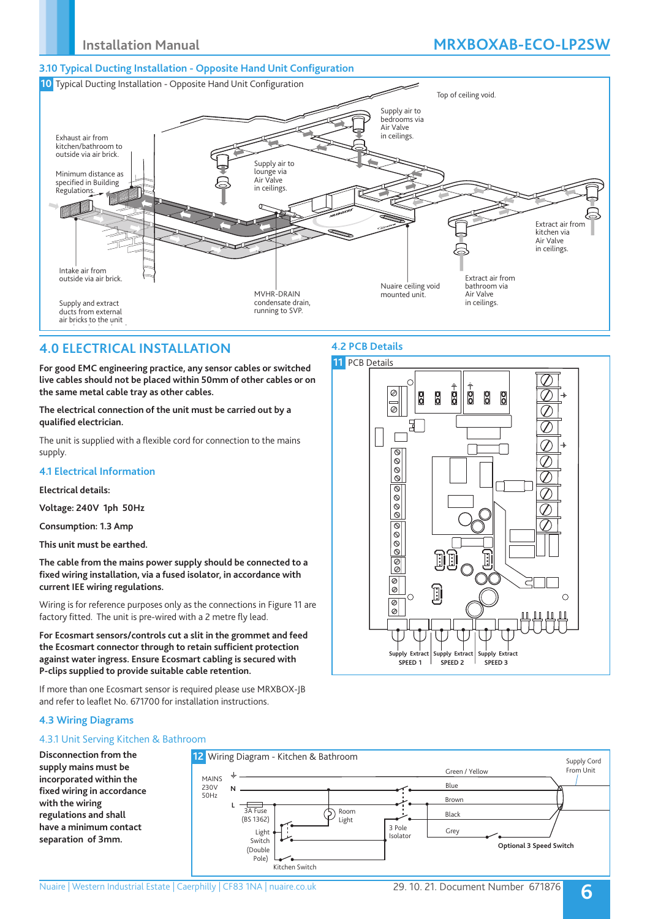# **Installation Manual MRXBOXAB-ECO-LP2SW**

### **3.10 Typical Ducting Installation - Opposite Hand Unit Configuration**



## **4.0 ELECTRICAL INSTALLATION**

**For good EMC engineering practice, any sensor cables or switched live cables should not be placed within 50mm of other cables or on the same metal cable tray as other cables.**

**The electrical connection of the unit must be carried out by a qualified electrician.** 

The unit is supplied with a flexible cord for connection to the mains supply.

### **4.1 Electrical Information**

### **Electrical details:**

**Voltage: 240V 1ph 50Hz**

**Consumption: 1.3 Amp** 

**This unit must be earthed.**

**The cable from the mains power supply should be connected to a fixed wiring installation, via a fused isolator, in accordance with current IEE wiring regulations.**

Wiring is for reference purposes only as the connections in Figure 11 are factory fitted. The unit is pre-wired with a 2 metre fly lead.

**For Ecosmart sensors/controls cut a slit in the grommet and feed the Ecosmart connector through to retain sufficient protection against water ingress. Ensure Ecosmart cabling is secured with P-clips supplied to provide suitable cable retention.** 

If more than one Ecosmart sensor is required please use MRXBOX-JB and refer to leaflet No. 671700 for installation instructions.

# **4.2 PCB Details**



## **4.3 Wiring Diagrams**

## 4.3.1 Unit Serving Kitchen & Bathroom

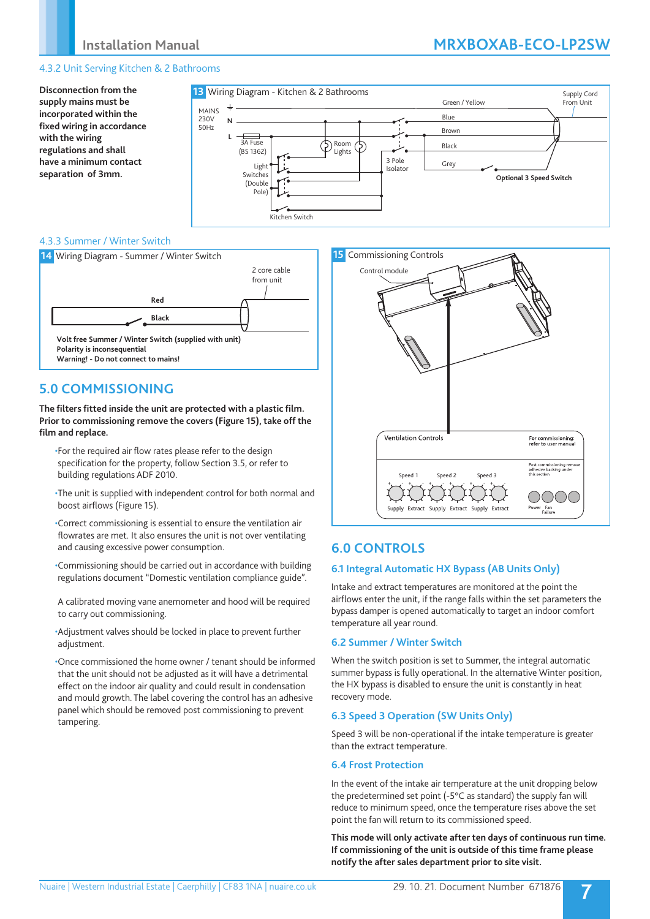### 4.3.2 Unit Serving Kitchen & 2 Bathrooms

**Disconnection from the supply mains must be incorporated within the fixed wiring in accordance with the wiring regulations and shall have a minimum contact separation of 3mm.**



### 4.3.3 Summer / Winter Switch



## **5.0 COMMISSIONING**

**The filters fitted inside the unit are protected with a plastic film. Prior to commissioning remove the covers (Figure 15), take off the film and replace.**

- •For the required air flow rates please refer to the design specification for the property, follow Section 3.5, or refer to building regulations ADF 2010.
- •The unit is supplied with independent control for both normal and boost airflows (Figure 15).
- •Correct commissioning is essential to ensure the ventilation air flowrates are met. It also ensures the unit is not over ventilating and causing excessive power consumption.
- •Commissioning should be carried out in accordance with building regulations document "Domestic ventilation compliance guide".
- A calibrated moving vane anemometer and hood will be required to carry out commissioning.
- •Adjustment valves should be locked in place to prevent further adjustment.

•Once commissioned the home owner / tenant should be informed that the unit should not be adjusted as it will have a detrimental effect on the indoor air quality and could result in condensation and mould growth. The label covering the control has an adhesive panel which should be removed post commissioning to prevent tampering.



# **6.0 CONTROLS**

### **6.1 Integral Automatic HX Bypass (AB Units Only)**

Intake and extract temperatures are monitored at the point the airflows enter the unit, if the range falls within the set parameters the bypass damper is opened automatically to target an indoor comfort temperature all year round.

### **6.2 Summer / Winter Switch**

When the switch position is set to Summer, the integral automatic summer bypass is fully operational. In the alternative Winter position, the HX bypass is disabled to ensure the unit is constantly in heat recovery mode.

### **6.3 Speed 3 Operation (SW Units Only)**

Speed 3 will be non-operational if the intake temperature is greater than the extract temperature.

#### **6.4 Frost Protection**

In the event of the intake air temperature at the unit dropping below the predetermined set point (-5°C as standard) the supply fan will reduce to minimum speed, once the temperature rises above the set point the fan will return to its commissioned speed.

**This mode will only activate after ten days of continuous run time. If commissioning of the unit is outside of this time frame please notify the after sales department prior to site visit.**